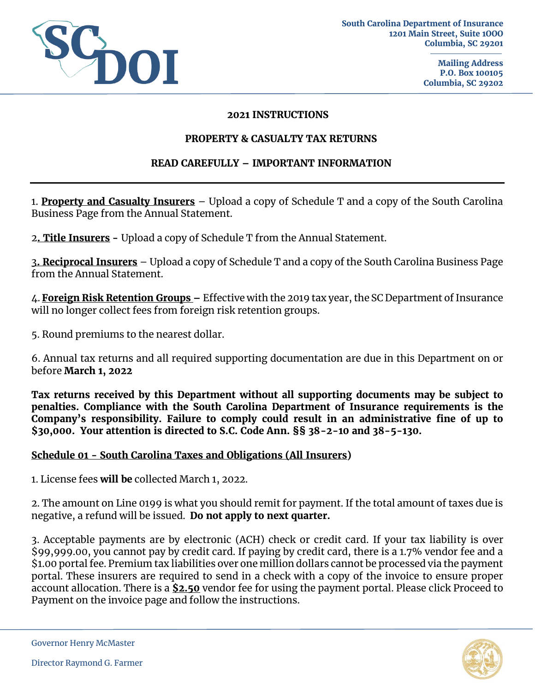

#### **2021 INSTRUCTIONS**

#### **PROPERTY & CASUALTY TAX RETURNS**

### **READ CAREFULLY – IMPORTANT INFORMATION**

1. **Property and Casualty Insurers** – Upload a copy of Schedule T and a copy of the South Carolina Business Page from the Annual Statement.

2**. Title Insurers -** Upload a copy of Schedule T from the Annual Statement.

3**. Reciprocal Insurers** – Upload a copy of Schedule T and a copy of the South Carolina Business Page from the Annual Statement.

4. **Foreign Risk Retention Groups –** Effective with the 2019 tax year, the SC Department of Insurance will no longer collect fees from foreign risk retention groups.

5. Round premiums to the nearest dollar.

6. Annual tax returns and all required supporting documentation are due in this Department on or before **March 1, 2022** 

**Tax returns received by this Department without all supporting documents may be subject to penalties. Compliance with the South Carolina Department of Insurance requirements is the Company's responsibility. Failure to comply could result in an administrative fine of up to \$30,000. Your attention is directed to S.C. Code Ann. §§ 38-2-10 and 38-5-130.** 

### **Schedule 01 - South Carolina Taxes and Obligations (All Insurers)**

1. License fees **will be** collected March 1, 2022.

2. The amount on Line 0199 is what you should remit for payment. If the total amount of taxes due is negative, a refund will be issued. **Do not apply to next quarter.**

3. Acceptable payments are by electronic (ACH) check or credit card. If your tax liability is over \$99,999.00, you cannot pay by credit card. If paying by credit card, there is a 1.7% vendor fee and a \$1.00 portal fee. Premium tax liabilities over one million dollars cannot be processed via the payment portal. These insurers are required to send in a check with a copy of the invoice to ensure proper account allocation. There is a **\$2.50** vendor fee for using the payment portal. Please click Proceed to Payment on the invoice page and follow the instructions.



Governor Henry McMaster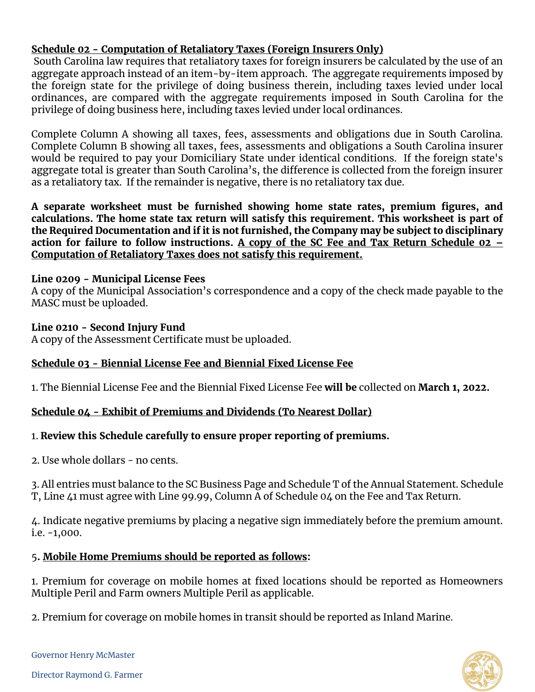# **Schedule 02 - Computation of Retaliatory Taxes (Foreign Insurers Only)**

South Carolina law requires that retaliatory taxes for foreign insurers be calculated by the use of an aggregate approach instead of an item-by-item approach. The aggregate requirements imposed by the foreign state for the privilege of doing business therein, including taxes levied under local ordinances, are compared with the aggregate requirements imposed in South Carolina for the privilege of doing business here, including taxes levied under local ordinances.

Complete Column A showing all taxes, fees, assessments and obligations due in South Carolina. Complete Column B showing all taxes, fees, assessments and obligations a South Carolina insurer would be required to pay your Domiciliary State under identical conditions. If the foreign state's aggregate total is greater than South Carolina's, the difference is collected from the foreign insurer as a retaliatory tax. If the remainder is negative, there is no retaliatory tax due.

**A separate worksheet must be furnished showing home state rates, premium figures, and calculations. The home state tax return will satisfy this requirement. This worksheet is part of the Required Documentation and if it is not furnished, the Company may be subject to disciplinary action for failure to follow instructions. A copy of the SC Fee and Tax Return Schedule 02 – Computation of Retaliatory Taxes does not satisfy this requirement.** 

## **Line 0209 - Municipal License Fees**

A copy of the Municipal Association's correspondence and a copy of the check made payable to the MASC must be uploaded.

# **Line 0210 - Second Injury Fund**

A copy of the Assessment Certificate must be uploaded.

# **Schedule 03 - Biennial License Fee and Biennial Fixed License Fee**

1. The Biennial License Fee and the Biennial Fixed License Fee **will be** collected on **March 1, 2022.** 

# **Schedule 04 - Exhibit of Premiums and Dividends (To Nearest Dollar)**

# 1. **Review this Schedule carefully to ensure proper reporting of premiums.**

2. Use whole dollars - no cents.

3. All entries must balance to the SC Business Page and Schedule T of the Annual Statement. Schedule T, Line 41 must agree with Line 99.99, Column A of Schedule 04 on the Fee and Tax Return.

4. Indicate negative premiums by placing a negative sign immediately before the premium amount. i.e. -1,000.

# 5**. Mobile Home Premiums should be reported as follows:**

1. Premium for coverage on mobile homes at fixed locations should be reported as Homeowners Multiple Peril and Farm owners Multiple Peril as applicable.

2. Premium for coverage on mobile homes in transit should be reported as Inland Marine.



Governor Henry McMaster

Director Raymond G. Farmer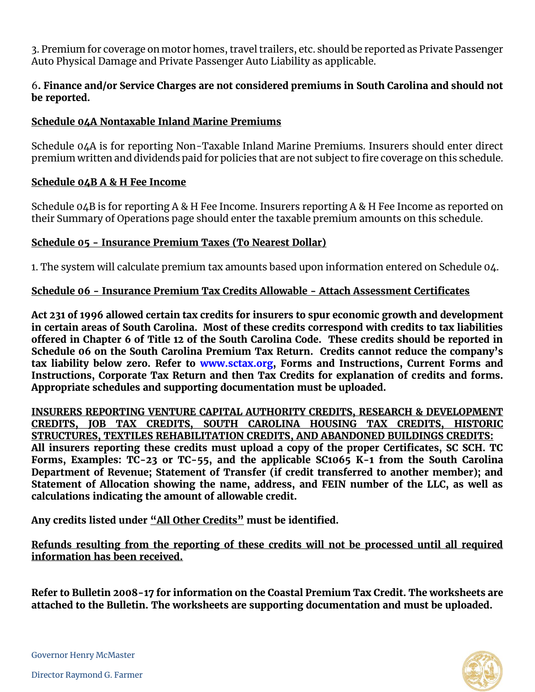3. Premium for coverage on motor homes, travel trailers, etc. should be reported as Private Passenger Auto Physical Damage and Private Passenger Auto Liability as applicable.

## 6**. Finance and/or Service Charges are not considered premiums in South Carolina and should not be reported.**

## **Schedule 04A Nontaxable Inland Marine Premiums**

Schedule 04A is for reporting Non-Taxable Inland Marine Premiums. Insurers should enter direct premium written and dividends paid for policies that are not subject to fire coverage on this schedule.

### **Schedule 04B A & H Fee Income**

Schedule 04B is for reporting A & H Fee Income. Insurers reporting A & H Fee Income as reported on their Summary of Operations page should enter the taxable premium amounts on this schedule.

### **Schedule 05 - Insurance Premium Taxes (To Nearest Dollar)**

1. The system will calculate premium tax amounts based upon information entered on Schedule 04.

## **Schedule 06 - Insurance Premium Tax Credits Allowable - Attach Assessment Certificates**

**Act 231 of 1996 allowed certain tax credits for insurers to spur economic growth and development in certain areas of South Carolina. Most of these credits correspond with credits to tax liabilities offered in Chapter 6 of Title 12 of the South Carolina Code. These credits should be reported in Schedule 06 on the South Carolina Premium Tax Return. Credits cannot reduce the company's tax liability below zero. Refer to [www.sctax.org,](http://www.sctax.org/) Forms and Instructions, Current Forms and Instructions, Corporate Tax Return and then Tax Credits for explanation of credits and forms. Appropriate schedules and supporting documentation must be uploaded.** 

**INSURERS REPORTING VENTURE CAPITAL AUTHORITY CREDITS, RESEARCH & DEVELOPMENT CREDITS, JOB TAX CREDITS, SOUTH CAROLINA HOUSING TAX CREDITS, HISTORIC STRUCTURES, TEXTILES REHABILITATION CREDITS, AND ABANDONED BUILDINGS CREDITS: All insurers reporting these credits must upload a copy of the proper Certificates, SC SCH. TC Forms, Examples: TC-23 or TC-55, and the applicable SC1065 K-1 from the South Carolina Department of Revenue; Statement of Transfer (if credit transferred to another member); and Statement of Allocation showing the name, address, and FEIN number of the LLC, as well as calculations indicating the amount of allowable credit.** 

**Any credits listed under "All Other Credits" must be identified.** 

**Refunds resulting from the reporting of these credits will not be processed until all required information has been received.**

**Refer to Bulletin 2008-17 for information on the Coastal Premium Tax Credit. The worksheets are attached to the Bulletin. The worksheets are supporting documentation and must be uploaded.**



Governor Henry McMaster

Director Raymond G. Farmer